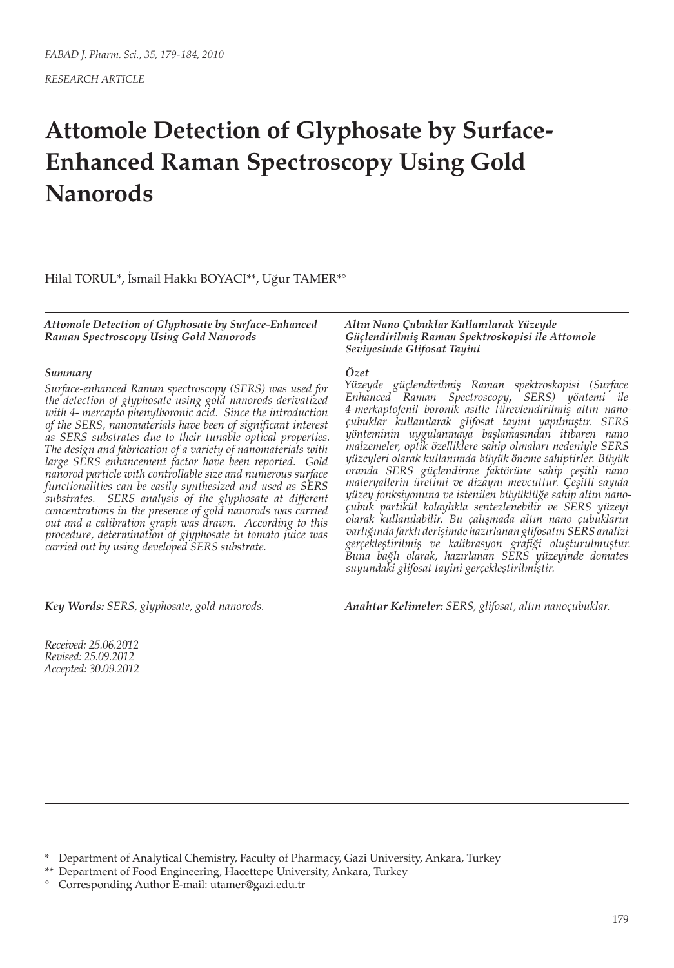*RESEARCH ARTICLE*

# **Attomole Detection of Glyphosate by Surface-Enhanced Raman Spectroscopy Using Gold Nanorods**

Hilal TORUL\*, İsmail Hakkı BOYACI\*\*, Uğur TAMER\*°

*Attomole Detection of Glyphosate by Surface-Enhanced Raman Spectroscopy Using Gold Nanorods*

#### *Summary*

*Surface-enhanced Raman spectroscopy (SERS) was used for the detection of glyphosate using gold nanorods derivatized with 4- mercapto phenylboronic acid. Since the introduction of the SERS, nanomaterials have been of significant interest as SERS substrates due to their tunable optical properties. The design and fabrication of a variety of nanomaterials with large SERS enhancement factor have been reported. Gold nanorod particle with controllable size and numerous surface functionalities can be easily synthesized and used as SERS substrates. SERS analysis of the glyphosate at different concentrations in the presence of gold nanorods was carried out and a calibration graph was drawn. According to this procedure, determination of glyphosate in tomato juice was carried out by using developed SERS substrate.*

*Key Words: SERS, glyphosate, gold nanorods.*

*Received: 25.06.2012 Revised: 25.09.2012 Accepted: 30.09.2012*

#### *Altın Nano Çubuklar Kullanılarak Yüzeyde Güçlendirilmiş Raman Spektroskopisi ile Attomole Seviyesinde Glifosat Tayini*

#### *Özet*

*Yüzeyde güçlendirilmiş Raman spektroskopisi (Surface Enhanced Raman Spectroscopy***,** *SERS) yöntemi ile 4-merkaptofenil boronik asitle türevlendirilmiş altın nanoçubuklar kullanılarak glifosat tayini yapılmıştır. SERS yönteminin uygulanmaya başlamasından itibaren nano malzemeler, optik özelliklere sahip olmaları nedeniyle SERS yüzeyleri olarak kullanımda büyük öneme sahiptirler. Büyük oranda SERS güçlendirme faktörüne sahip çeşitli nano materyallerin üretimi ve dizaynı mevcuttur. Çeşitli sayıda yüzey fonksiyonuna ve istenilen büyüklüğe sahip altın nanoçubuk partikül kolaylıkla sentezlenebilir ve SERS yüzeyi olarak kullanılabilir. Bu çalışmada altın nano çubukların varlığında farklı derişimde hazırlanan glifosatın SERS analizi gerçekleştirilmiş ve kalibrasyon grafiği oluşturulmuştur. Buna bağlı olarak, hazırlanan SERS yüzeyinde domates suyundaki glifosat tayini gerçekleştirilmiştir.*

*Anahtar Kelimeler: SERS, glifosat, altın nanoçubuklar.*

Department of Analytical Chemistry, Faculty of Pharmacy, Gazi University, Ankara, Turkey

<sup>\*\*</sup> Department of Food Engineering, Hacettepe University, Ankara, Turkey

<sup>°</sup> Corresponding Author E-mail: utamer@gazi.edu.tr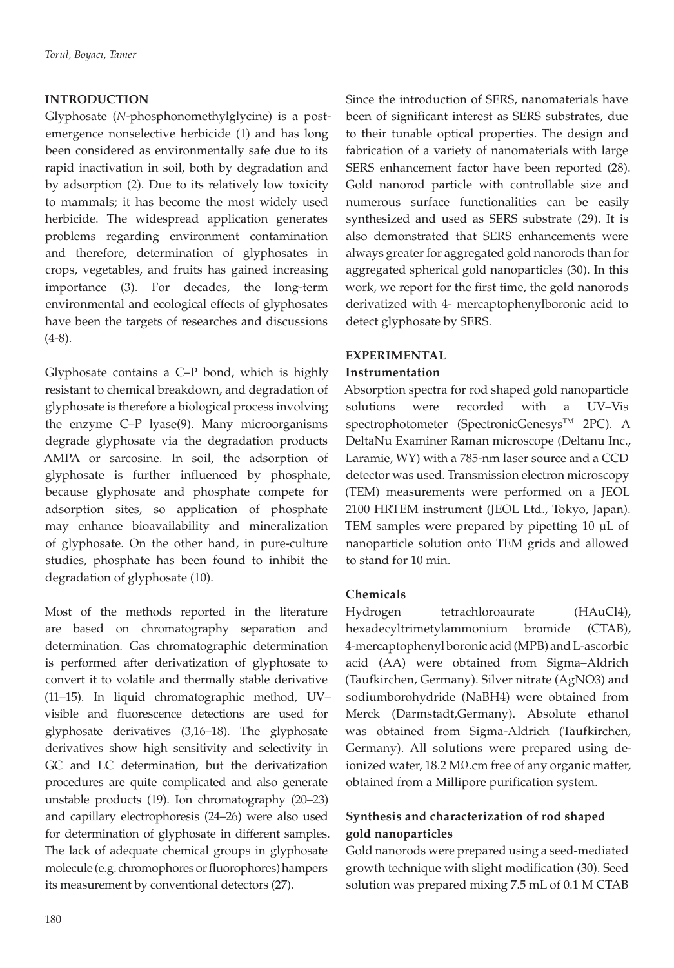## **INTRODUCTION**

Glyphosate (*N*-phosphonomethylglycine) is a postemergence nonselective herbicide (1) and has long been considered as environmentally safe due to its rapid inactivation in soil, both by degradation and by adsorption (2). Due to its relatively low toxicity to mammals; it has become the most widely used herbicide. The widespread application generates problems regarding environment contamination and therefore, determination of glyphosates in crops, vegetables, and fruits has gained increasing importance (3). For decades, the long-term environmental and ecological effects of glyphosates have been the targets of researches and discussions  $(4-8)$ .

Glyphosate contains a C–P bond, which is highly resistant to chemical breakdown, and degradation of glyphosate is therefore a biological process involving the enzyme C–P lyase(9). Many microorganisms degrade glyphosate via the degradation products AMPA or sarcosine. In soil, the adsorption of glyphosate is further influenced by phosphate, because glyphosate and phosphate compete for adsorption sites, so application of phosphate may enhance bioavailability and mineralization of glyphosate. On the other hand, in pure-culture studies, phosphate has been found to inhibit the degradation of glyphosate (10).

Most of the methods reported in the literature are based on chromatography separation and determination. Gas chromatographic determination is performed after derivatization of glyphosate to convert it to volatile and thermally stable derivative (11–15). In liquid chromatographic method, UV– visible and fluorescence detections are used for glyphosate derivatives (3,16–18). The glyphosate derivatives show high sensitivity and selectivity in GC and LC determination, but the derivatization procedures are quite complicated and also generate unstable products (19). Ion chromatography (20–23) and capillary electrophoresis (24–26) were also used for determination of glyphosate in different samples. The lack of adequate chemical groups in glyphosate molecule (e.g. chromophores or fluorophores) hampers its measurement by conventional detectors (27).

Since the introduction of SERS, nanomaterials have been of significant interest as SERS substrates, due to their tunable optical properties. The design and fabrication of a variety of nanomaterials with large SERS enhancement factor have been reported (28). Gold nanorod particle with controllable size and numerous surface functionalities can be easily synthesized and used as SERS substrate (29). It is also demonstrated that SERS enhancements were always greater for aggregated gold nanorods than for aggregated spherical gold nanoparticles (30). In this work, we report for the first time, the gold nanorods derivatized with 4- mercaptophenylboronic acid to detect glyphosate by SERS.

## **EXPERIMENTAL**

#### **Instrumentation**

Absorption spectra for rod shaped gold nanoparticle solutions were recorded with a UV–Vis spectrophotometer (SpectronicGenesys™ 2PC). A DeltaNu Examiner Raman microscope (Deltanu Inc., Laramie, WY) with a 785-nm laser source and a CCD detector was used. Transmission electron microscopy (TEM) measurements were performed on a JEOL 2100 HRTEM instrument (JEOL Ltd., Tokyo, Japan). TEM samples were prepared by pipetting 10 µL of nanoparticle solution onto TEM grids and allowed to stand for 10 min.

## **Chemicals**

Hydrogen tetrachloroaurate (HAuCl4), hexadecyltrimetylammonium bromide (CTAB), 4-mercaptophenyl boronic acid (MPB) and L-ascorbic acid (AA) were obtained from Sigma–Aldrich (Taufkirchen, Germany). Silver nitrate (AgNO3) and sodiumborohydride (NaBH4) were obtained from Merck (Darmstadt,Germany). Absolute ethanol was obtained from Sigma-Aldrich (Taufkirchen, Germany). All solutions were prepared using deionized water, 18.2 MΩ.cm free of any organic matter, obtained from a Millipore purification system.

# **Synthesis and characterization of rod shaped gold nanoparticles**

Gold nanorods were prepared using a seed-mediated growth technique with slight modification (30). Seed solution was prepared mixing 7.5 mL of 0.1 M CTAB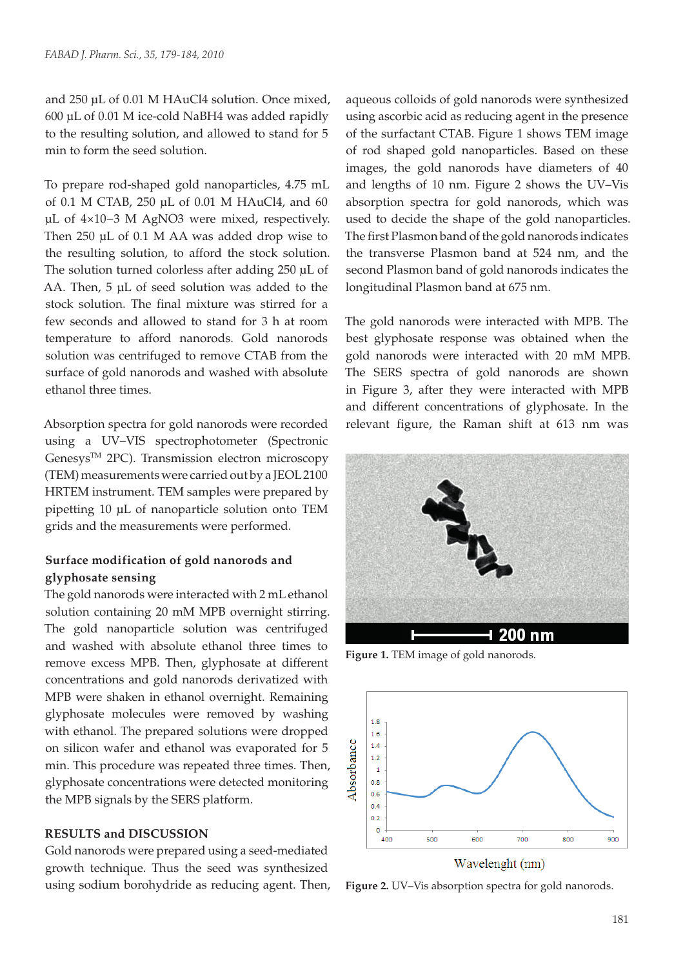and 250 μL of 0.01 M HAuCl4 solution. Once mixed, 600 μL of 0.01 M ice-cold NaBH4 was added rapidly to the resulting solution, and allowed to stand for 5 min to form the seed solution.

To prepare rod-shaped gold nanoparticles, 4.75 mL of 0.1 M CTAB, 250 μL of 0.01 M HAuCl4, and 60 μL of 4×10−3 M AgNO3 were mixed, respectively. Then 250 μL of 0.1 M AA was added drop wise to the resulting solution, to afford the stock solution. The solution turned colorless after adding 250 μL of AA. Then, 5 μL of seed solution was added to the stock solution. The final mixture was stirred for a few seconds and allowed to stand for 3 h at room temperature to afford nanorods. Gold nanorods solution was centrifuged to remove CTAB from the surface of gold nanorods and washed with absolute ethanol three times.

Absorption spectra for gold nanorods were recorded using a UV–VIS spectrophotometer (Spectronic Genesys™ 2PC). Transmission electron microscopy (TEM) measurements were carried out by a JEOL 2100 HRTEM instrument. TEM samples were prepared by pipetting 10 µL of nanoparticle solution onto TEM grids and the measurements were performed.

## **Surface modification of gold nanorods and glyphosate sensing**

The gold nanorods were interacted with 2 mL ethanol solution containing 20 mM MPB overnight stirring. The gold nanoparticle solution was centrifuged and washed with absolute ethanol three times to remove excess MPB. Then, glyphosate at different concentrations and gold nanorods derivatized with MPB were shaken in ethanol overnight. Remaining glyphosate molecules were removed by washing with ethanol. The prepared solutions were dropped on silicon wafer and ethanol was evaporated for 5 min. This procedure was repeated three times. Then, glyphosate concentrations were detected monitoring the MPB signals by the SERS platform.

## **RESULTS and DISCUSSION**

Gold nanorods were prepared using a seed-mediated growth technique. Thus the seed was synthesized using sodium borohydride as reducing agent. Then,

aqueous colloids of gold nanorods were synthesized using ascorbic acid as reducing agent in the presence of the surfactant CTAB. Figure 1 shows TEM image of rod shaped gold nanoparticles. Based on these images, the gold nanorods have diameters of 40 and lengths of 10 nm. Figure 2 shows the UV–Vis absorption spectra for gold nanorods, which was used to decide the shape of the gold nanoparticles. The first Plasmon band of the gold nanorods indicates the transverse Plasmon band at 524 nm, and the second Plasmon band of gold nanorods indicates the longitudinal Plasmon band at 675 nm.

The gold nanorods were interacted with MPB. The best glyphosate response was obtained when the gold nanorods were interacted with 20 mM MPB. The SERS spectra of gold nanorods are shown in Figure 3, after they were interacted with MPB and different concentrations of glyphosate. In the relevant figure, the Raman shift at 613 nm was



**Figure 1.** TEM image of gold nanorods.



**Figure 2.** UV–Vis absorption spectra for gold nanorods.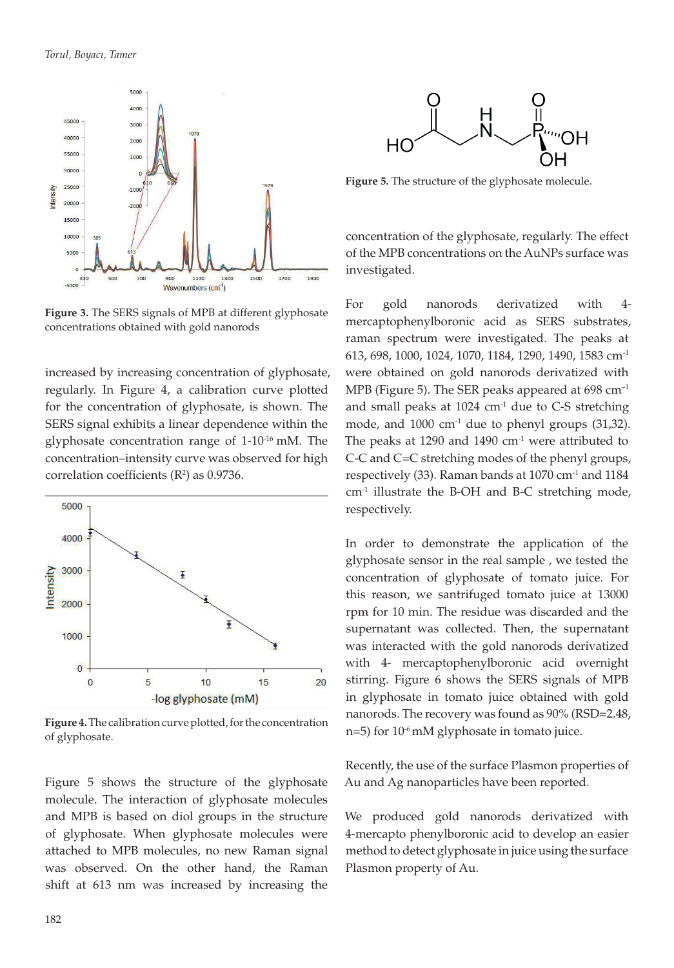

**Figure 3.** The SERS signals of MPB at different glyphosate concentrations obtained with gold nanorods

increased by increasing concentration of glyphosate, regularly. In Figure 4, a calibration curve plotted for the concentration of glyphosate, is shown. The SERS signal exhibits a linear dependence within the glyphosate concentration range of 1-10-16 mM. The concentration–intensity curve was observed for high correlation coefficients  $(R^2)$  as 0.9736.



**Figure 4.** The calibration curve plotted, for the concentration of glyphosate.

Figure 5 shows the structure of the glyphosate molecule. The interaction of glyphosate molecules and MPB is based on diol groups in the structure of glyphosate. When glyphosate molecules were attached to MPB molecules, no new Raman signal was observed. On the other hand, the Raman shift at 613 nm was increased by increasing the



**Figure 5.** The structure of the glyphosate molecule.

concentration of the glyphosate, regularly. The effect of the MPB concentrations on the AuNPs surface was investigated.

For gold nanorods derivatized with 4 mercaptophenylboronic acid as SERS substrates, raman spectrum were investigated. The peaks at 613, 698, 1000, 1024, 1070, 1184, 1290, 1490, 1583 cm-1 were obtained on gold nanorods derivatized with MPB (Figure 5). The SER peaks appeared at  $698 \text{ cm}^{-1}$ and small peaks at  $1024 \text{ cm}^{-1}$  due to C-S stretching mode, and 1000 cm-1 due to phenyl groups (31,32). The peaks at  $1290$  and  $1490$  cm<sup>-1</sup> were attributed to C-C and C=C stretching modes of the phenyl groups, respectively (33). Raman bands at 1070 cm-1 and 1184 cm-1 illustrate the B-OH and B-C stretching mode, respectively.

In order to demonstrate the application of the glyphosate sensor in the real sample , we tested the concentration of glyphosate of tomato juice. For this reason, we santrifuged tomato juice at 13000 rpm for 10 min. The residue was discarded and the supernatant was collected. Then, the supernatant was interacted with the gold nanorods derivatized with 4- mercaptophenylboronic acid overnight stirring. Figure 6 shows the SERS signals of MPB in glyphosate in tomato juice obtained with gold nanorods. The recovery was found as 90% (RSD=2.48, n=5) for 10<sup>-6</sup> mM glyphosate in tomato juice.

Recently, the use of the surface Plasmon properties of Au and Ag nanoparticles have been reported.

We produced gold nanorods derivatized with 4-mercapto phenylboronic acid to develop an easier method to detect glyphosate in juice using the surface Plasmon property of Au.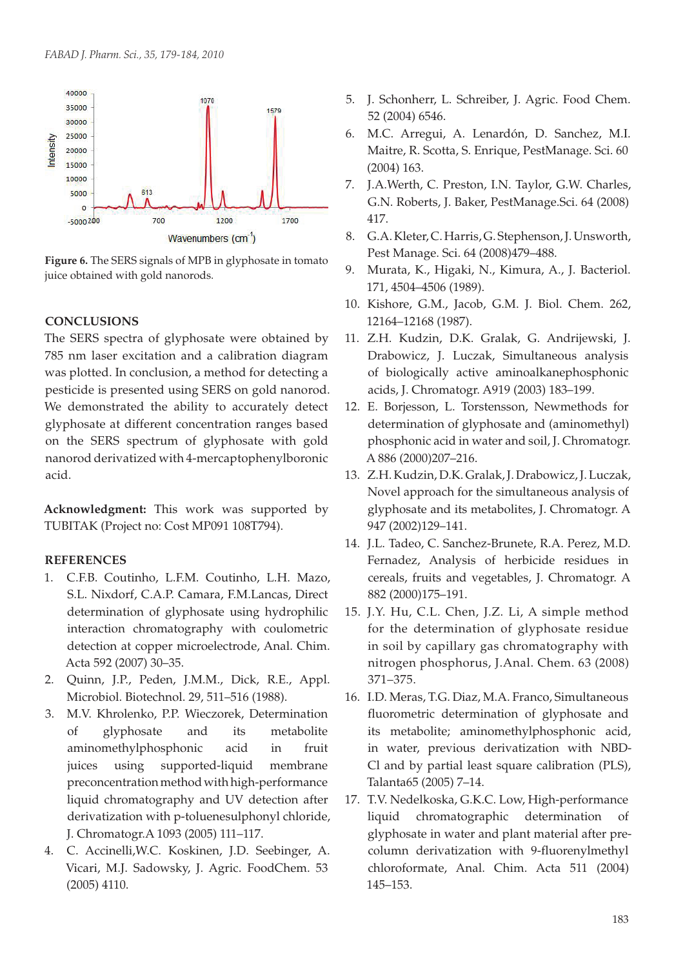

**Figure 6.** The SERS signals of MPB in glyphosate in tomato juice obtained with gold nanorods.

## **CONCLUSIONS**

The SERS spectra of glyphosate were obtained by 785 nm laser excitation and a calibration diagram was plotted. In conclusion, a method for detecting a pesticide is presented using SERS on gold nanorod. We demonstrated the ability to accurately detect glyphosate at different concentration ranges based on the SERS spectrum of glyphosate with gold nanorod derivatized with 4-mercaptophenylboronic acid.

**Acknowledgment:** This work was supported by TUBITAK (Project no: Cost MP091 108T794).

## **REFERENCES**

- 1. C.F.B. Coutinho, L.F.M. Coutinho, L.H. Mazo, S.L. Nixdorf, C.A.P. Camara, F.M.Lancas, Direct determination of glyphosate using hydrophilic interaction chromatography with coulometric detection at copper microelectrode, Anal. Chim. Acta 592 (2007) 30–35.
- 2. Quinn, J.P., Peden, J.M.M., Dick, R.E., Appl. Microbiol. Biotechnol. 29, 511–516 (1988).
- 3. M.V. Khrolenko, P.P. Wieczorek, Determination of glyphosate and its metabolite aminomethylphosphonic acid in fruit juices using supported-liquid membrane preconcentration method with high-performance liquid chromatography and UV detection after derivatization with p-toluenesulphonyl chloride, J. Chromatogr.A 1093 (2005) 111–117.
- 4. C. Accinelli,W.C. Koskinen, J.D. Seebinger, A. Vicari, M.J. Sadowsky, J. Agric. FoodChem. 53 (2005) 4110.
- 5. J. Schonherr, L. Schreiber, J. Agric. Food Chem. 52 (2004) 6546.
- 6. M.C. Arregui, A. Lenardón, D. Sanchez, M.I. Maitre, R. Scotta, S. Enrique, PestManage. Sci. 60 (2004) 163.
- 7. J.A.Werth, C. Preston, I.N. Taylor, G.W. Charles, G.N. Roberts, J. Baker, PestManage.Sci. 64 (2008) 417.
- 8. G.A. Kleter, C. Harris, G. Stephenson, J. Unsworth, Pest Manage. Sci. 64 (2008)479–488.
- 9. Murata, K., Higaki, N., Kimura, A., J. Bacteriol. 171, 4504–4506 (1989).
- 10. Kishore, G.M., Jacob, G.M. J. Biol. Chem. 262, 12164–12168 (1987).
- 11. Z.H. Kudzin, D.K. Gralak, G. Andrijewski, J. Drabowicz, J. Luczak, Simultaneous analysis of biologically active aminoalkanephosphonic acids, J. Chromatogr. A919 (2003) 183–199.
- 12. E. Borjesson, L. Torstensson, Newmethods for determination of glyphosate and (aminomethyl) phosphonic acid in water and soil, J. Chromatogr. A 886 (2000)207–216.
- 13. Z.H. Kudzin, D.K. Gralak, J. Drabowicz, J. Luczak, Novel approach for the simultaneous analysis of glyphosate and its metabolites, J. Chromatogr. A 947 (2002)129–141.
- 14. J.L. Tadeo, C. Sanchez-Brunete, R.A. Perez, M.D. Fernadez, Analysis of herbicide residues in cereals, fruits and vegetables, J. Chromatogr. A 882 (2000)175–191.
- 15. J.Y. Hu, C.L. Chen, J.Z. Li, A simple method for the determination of glyphosate residue in soil by capillary gas chromatography with nitrogen phosphorus, J.Anal. Chem. 63 (2008) 371–375.
- 16. I.D. Meras, T.G. Diaz, M.A. Franco, Simultaneous fluorometric determination of glyphosate and its metabolite; aminomethylphosphonic acid, in water, previous derivatization with NBD-Cl and by partial least square calibration (PLS), Talanta65 (2005) 7–14.
- 17. T.V. Nedelkoska, G.K.C. Low, High-performance liquid chromatographic determination of glyphosate in water and plant material after precolumn derivatization with 9-fluorenylmethyl chloroformate, Anal. Chim. Acta 511 (2004) 145–153.